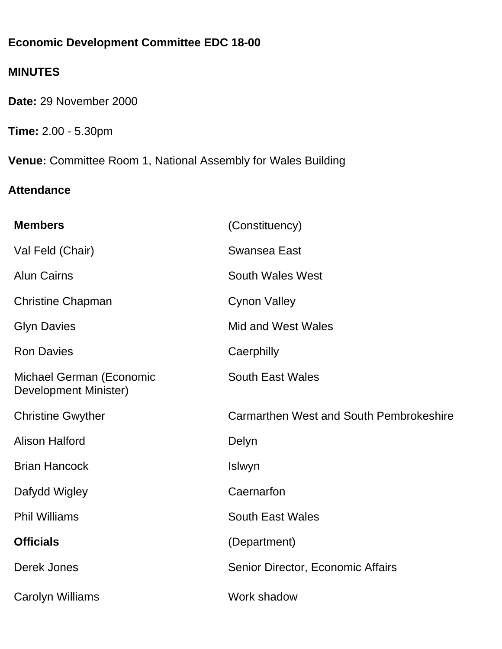# **Economic Development Committee EDC 18-00**

# **MINUTES**

**Date:** 29 November 2000

**Time:** 2.00 - 5.30pm

**Venue:** Committee Room 1, National Assembly for Wales Building

# **Attendance**

| <b>Members</b>                                    | (Constituency)                          |
|---------------------------------------------------|-----------------------------------------|
| Val Feld (Chair)                                  | <b>Swansea East</b>                     |
| <b>Alun Cairns</b>                                | <b>South Wales West</b>                 |
| <b>Christine Chapman</b>                          | <b>Cynon Valley</b>                     |
| <b>Glyn Davies</b>                                | <b>Mid and West Wales</b>               |
| <b>Ron Davies</b>                                 | Caerphilly                              |
| Michael German (Economic<br>Development Minister) | <b>South East Wales</b>                 |
| <b>Christine Gwyther</b>                          | Carmarthen West and South Pembrokeshire |
| <b>Alison Halford</b>                             | Delyn                                   |
| <b>Brian Hancock</b>                              | Islwyn                                  |
| Dafydd Wigley                                     | Caernarfon                              |
| <b>Phil Williams</b>                              | <b>South East Wales</b>                 |
| <b>Officials</b>                                  | (Department)                            |
| Derek Jones                                       | Senior Director, Economic Affairs       |
| <b>Carolyn Williams</b>                           | Work shadow                             |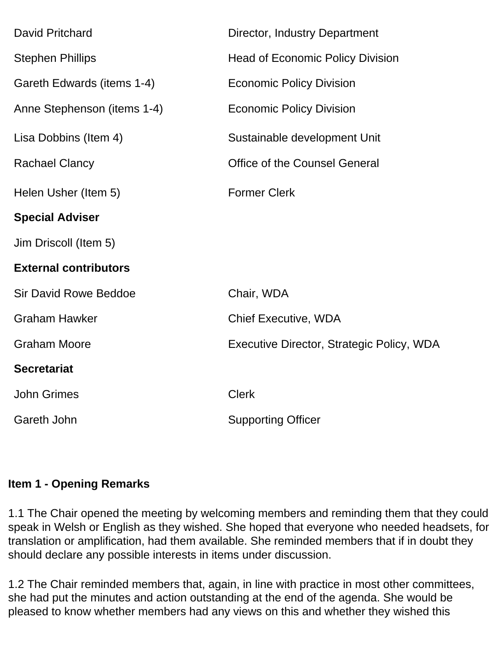| <b>David Pritchard</b>       | Director, Industry Department             |
|------------------------------|-------------------------------------------|
|                              |                                           |
| <b>Stephen Phillips</b>      | <b>Head of Economic Policy Division</b>   |
| Gareth Edwards (items 1-4)   | <b>Economic Policy Division</b>           |
| Anne Stephenson (items 1-4)  | <b>Economic Policy Division</b>           |
| Lisa Dobbins (Item 4)        | Sustainable development Unit              |
| <b>Rachael Clancy</b>        | <b>Office of the Counsel General</b>      |
| Helen Usher (Item 5)         | <b>Former Clerk</b>                       |
| <b>Special Adviser</b>       |                                           |
| Jim Driscoll (Item 5)        |                                           |
| <b>External contributors</b> |                                           |
| <b>Sir David Rowe Beddoe</b> | Chair, WDA                                |
| <b>Graham Hawker</b>         | <b>Chief Executive, WDA</b>               |
| <b>Graham Moore</b>          | Executive Director, Strategic Policy, WDA |
| <b>Secretariat</b>           |                                           |
| <b>John Grimes</b>           | <b>Clerk</b>                              |
| Gareth John                  | <b>Supporting Officer</b>                 |

#### **Item 1 - Opening Remarks**

1.1 The Chair opened the meeting by welcoming members and reminding them that they could speak in Welsh or English as they wished. She hoped that everyone who needed headsets, for translation or amplification, had them available. She reminded members that if in doubt they should declare any possible interests in items under discussion.

1.2 The Chair reminded members that, again, in line with practice in most other committees, she had put the minutes and action outstanding at the end of the agenda. She would be pleased to know whether members had any views on this and whether they wished this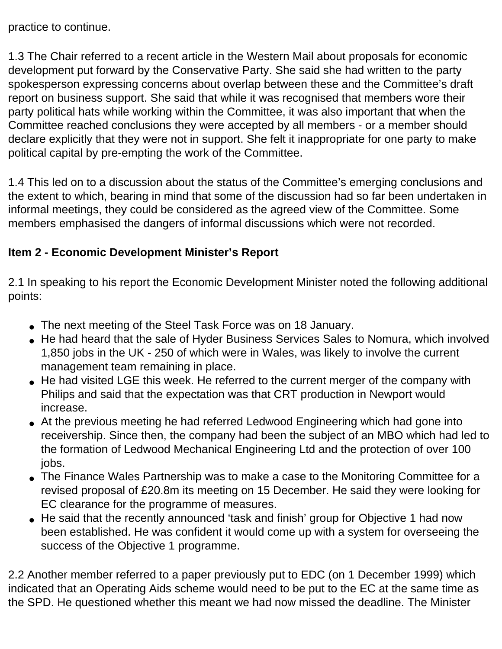practice to continue.

1.3 The Chair referred to a recent article in the Western Mail about proposals for economic development put forward by the Conservative Party. She said she had written to the party spokesperson expressing concerns about overlap between these and the Committee's draft report on business support. She said that while it was recognised that members wore their party political hats while working within the Committee, it was also important that when the Committee reached conclusions they were accepted by all members - or a member should declare explicitly that they were not in support. She felt it inappropriate for one party to make political capital by pre-empting the work of the Committee.

1.4 This led on to a discussion about the status of the Committee's emerging conclusions and the extent to which, bearing in mind that some of the discussion had so far been undertaken in informal meetings, they could be considered as the agreed view of the Committee. Some members emphasised the dangers of informal discussions which were not recorded.

### **Item 2 - Economic Development Minister's Report**

2.1 In speaking to his report the Economic Development Minister noted the following additional points:

- The next meeting of the Steel Task Force was on 18 January.
- He had heard that the sale of Hyder Business Services Sales to Nomura, which involved 1,850 jobs in the UK - 250 of which were in Wales, was likely to involve the current management team remaining in place.
- He had visited LGE this week. He referred to the current merger of the company with Philips and said that the expectation was that CRT production in Newport would increase.
- At the previous meeting he had referred Ledwood Engineering which had gone into receivership. Since then, the company had been the subject of an MBO which had led to the formation of Ledwood Mechanical Engineering Ltd and the protection of over 100 jobs.
- The Finance Wales Partnership was to make a case to the Monitoring Committee for a revised proposal of £20.8m its meeting on 15 December. He said they were looking for EC clearance for the programme of measures.
- He said that the recently announced 'task and finish' group for Objective 1 had now been established. He was confident it would come up with a system for overseeing the success of the Objective 1 programme.

2.2 Another member referred to a paper previously put to EDC (on 1 December 1999) which indicated that an Operating Aids scheme would need to be put to the EC at the same time as the SPD. He questioned whether this meant we had now missed the deadline. The Minister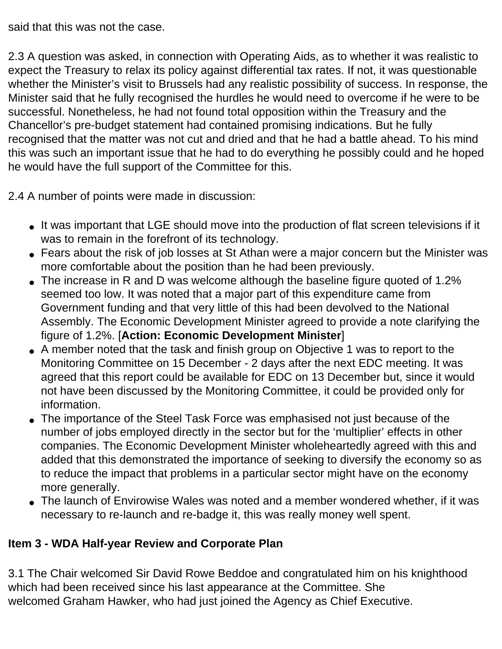said that this was not the case.

2.3 A question was asked, in connection with Operating Aids, as to whether it was realistic to expect the Treasury to relax its policy against differential tax rates. If not, it was questionable whether the Minister's visit to Brussels had any realistic possibility of success. In response, the Minister said that he fully recognised the hurdles he would need to overcome if he were to be successful. Nonetheless, he had not found total opposition within the Treasury and the Chancellor's pre-budget statement had contained promising indications. But he fully recognised that the matter was not cut and dried and that he had a battle ahead. To his mind this was such an important issue that he had to do everything he possibly could and he hoped he would have the full support of the Committee for this.

2.4 A number of points were made in discussion:

- It was important that LGE should move into the production of flat screen televisions if it was to remain in the forefront of its technology.
- Fears about the risk of job losses at St Athan were a major concern but the Minister was more comfortable about the position than he had been previously.
- The increase in R and D was welcome although the baseline figure quoted of 1.2% seemed too low. It was noted that a major part of this expenditure came from Government funding and that very little of this had been devolved to the National Assembly. The Economic Development Minister agreed to provide a note clarifying the figure of 1.2%. [**Action: Economic Development Minister**]
- A member noted that the task and finish group on Objective 1 was to report to the Monitoring Committee on 15 December - 2 days after the next EDC meeting. It was agreed that this report could be available for EDC on 13 December but, since it would not have been discussed by the Monitoring Committee, it could be provided only for information.
- The importance of the Steel Task Force was emphasised not just because of the number of jobs employed directly in the sector but for the 'multiplier' effects in other companies. The Economic Development Minister wholeheartedly agreed with this and added that this demonstrated the importance of seeking to diversify the economy so as to reduce the impact that problems in a particular sector might have on the economy more generally.
- The launch of Envirowise Wales was noted and a member wondered whether, if it was necessary to re-launch and re-badge it, this was really money well spent.

# **Item 3 - WDA Half-year Review and Corporate Plan**

3.1 The Chair welcomed Sir David Rowe Beddoe and congratulated him on his knighthood which had been received since his last appearance at the Committee. She welcomed Graham Hawker, who had just joined the Agency as Chief Executive.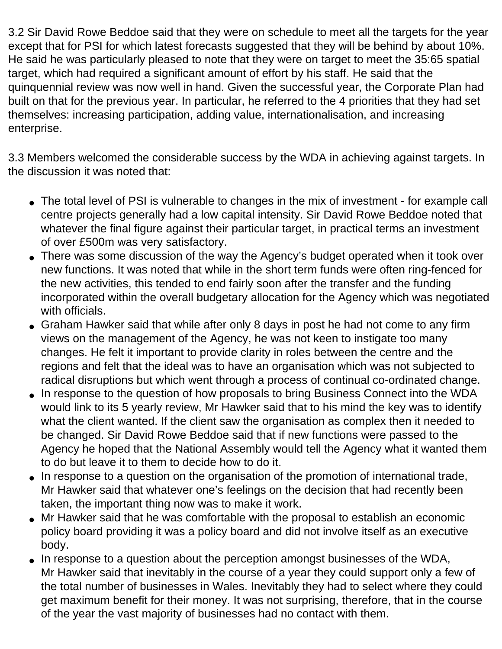3.2 Sir David Rowe Beddoe said that they were on schedule to meet all the targets for the year except that for PSI for which latest forecasts suggested that they will be behind by about 10%. He said he was particularly pleased to note that they were on target to meet the 35:65 spatial target, which had required a significant amount of effort by his staff. He said that the quinquennial review was now well in hand. Given the successful year, the Corporate Plan had built on that for the previous year. In particular, he referred to the 4 priorities that they had set themselves: increasing participation, adding value, internationalisation, and increasing enterprise.

3.3 Members welcomed the considerable success by the WDA in achieving against targets. In the discussion it was noted that:

- The total level of PSI is vulnerable to changes in the mix of investment for example call centre projects generally had a low capital intensity. Sir David Rowe Beddoe noted that whatever the final figure against their particular target, in practical terms an investment of over £500m was very satisfactory.
- There was some discussion of the way the Agency's budget operated when it took over new functions. It was noted that while in the short term funds were often ring-fenced for the new activities, this tended to end fairly soon after the transfer and the funding incorporated within the overall budgetary allocation for the Agency which was negotiated with officials.
- Graham Hawker said that while after only 8 days in post he had not come to any firm views on the management of the Agency, he was not keen to instigate too many changes. He felt it important to provide clarity in roles between the centre and the regions and felt that the ideal was to have an organisation which was not subjected to radical disruptions but which went through a process of continual co-ordinated change.
- In response to the question of how proposals to bring Business Connect into the WDA would link to its 5 yearly review, Mr Hawker said that to his mind the key was to identify what the client wanted. If the client saw the organisation as complex then it needed to be changed. Sir David Rowe Beddoe said that if new functions were passed to the Agency he hoped that the National Assembly would tell the Agency what it wanted them to do but leave it to them to decide how to do it.
- In response to a question on the organisation of the promotion of international trade, Mr Hawker said that whatever one's feelings on the decision that had recently been taken, the important thing now was to make it work.
- Mr Hawker said that he was comfortable with the proposal to establish an economic policy board providing it was a policy board and did not involve itself as an executive body.
- In response to a question about the perception amongst businesses of the WDA, Mr Hawker said that inevitably in the course of a year they could support only a few of the total number of businesses in Wales. Inevitably they had to select where they could get maximum benefit for their money. It was not surprising, therefore, that in the course of the year the vast majority of businesses had no contact with them.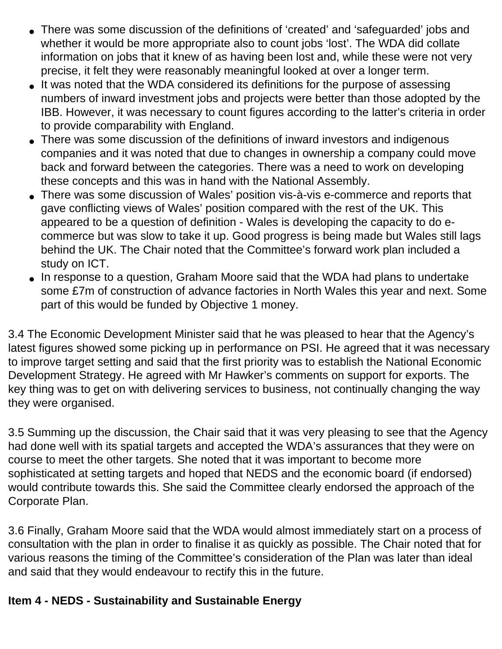- There was some discussion of the definitions of 'created' and 'safeguarded' jobs and whether it would be more appropriate also to count jobs 'lost'. The WDA did collate information on jobs that it knew of as having been lost and, while these were not very precise, it felt they were reasonably meaningful looked at over a longer term.
- It was noted that the WDA considered its definitions for the purpose of assessing numbers of inward investment jobs and projects were better than those adopted by the IBB. However, it was necessary to count figures according to the latter's criteria in order to provide comparability with England.
- There was some discussion of the definitions of inward investors and indigenous companies and it was noted that due to changes in ownership a company could move back and forward between the categories. There was a need to work on developing these concepts and this was in hand with the National Assembly.
- There was some discussion of Wales' position vis-à-vis e-commerce and reports that gave conflicting views of Wales' position compared with the rest of the UK. This appeared to be a question of definition - Wales is developing the capacity to do ecommerce but was slow to take it up. Good progress is being made but Wales still lags behind the UK. The Chair noted that the Committee's forward work plan included a study on ICT.
- In response to a question, Graham Moore said that the WDA had plans to undertake some £7m of construction of advance factories in North Wales this year and next. Some part of this would be funded by Objective 1 money.

3.4 The Economic Development Minister said that he was pleased to hear that the Agency's latest figures showed some picking up in performance on PSI. He agreed that it was necessary to improve target setting and said that the first priority was to establish the National Economic Development Strategy. He agreed with Mr Hawker's comments on support for exports. The key thing was to get on with delivering services to business, not continually changing the way they were organised.

3.5 Summing up the discussion, the Chair said that it was very pleasing to see that the Agency had done well with its spatial targets and accepted the WDA's assurances that they were on course to meet the other targets. She noted that it was important to become more sophisticated at setting targets and hoped that NEDS and the economic board (if endorsed) would contribute towards this. She said the Committee clearly endorsed the approach of the Corporate Plan.

3.6 Finally, Graham Moore said that the WDA would almost immediately start on a process of consultation with the plan in order to finalise it as quickly as possible. The Chair noted that for various reasons the timing of the Committee's consideration of the Plan was later than ideal and said that they would endeavour to rectify this in the future.

### **Item 4 - NEDS - Sustainability and Sustainable Energy**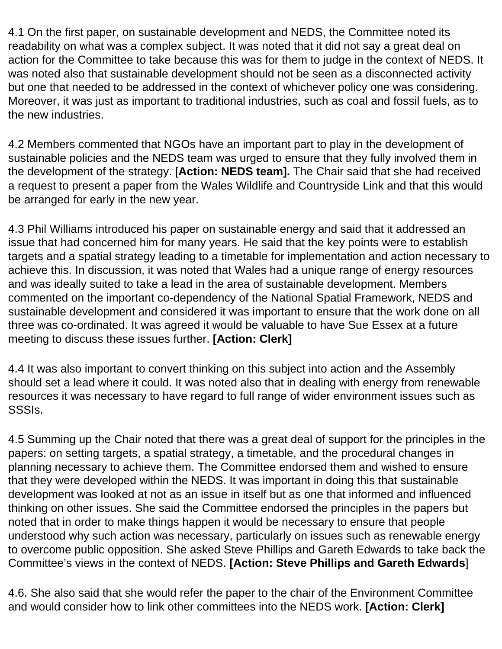4.1 On the first paper, on sustainable development and NEDS, the Committee noted its readability on what was a complex subject. It was noted that it did not say a great deal on action for the Committee to take because this was for them to judge in the context of NEDS. It was noted also that sustainable development should not be seen as a disconnected activity but one that needed to be addressed in the context of whichever policy one was considering. Moreover, it was just as important to traditional industries, such as coal and fossil fuels, as to the new industries.

4.2 Members commented that NGOs have an important part to play in the development of sustainable policies and the NEDS team was urged to ensure that they fully involved them in the development of the strategy. [**Action: NEDS team].** The Chair said that she had received a request to present a paper from the Wales Wildlife and Countryside Link and that this would be arranged for early in the new year.

4.3 Phil Williams introduced his paper on sustainable energy and said that it addressed an issue that had concerned him for many years. He said that the key points were to establish targets and a spatial strategy leading to a timetable for implementation and action necessary to achieve this. In discussion, it was noted that Wales had a unique range of energy resources and was ideally suited to take a lead in the area of sustainable development. Members commented on the important co-dependency of the National Spatial Framework, NEDS and sustainable development and considered it was important to ensure that the work done on all three was co-ordinated. It was agreed it would be valuable to have Sue Essex at a future meeting to discuss these issues further. **[Action: Clerk]**

4.4 It was also important to convert thinking on this subject into action and the Assembly should set a lead where it could. It was noted also that in dealing with energy from renewable resources it was necessary to have regard to full range of wider environment issues such as SSSIs.

4.5 Summing up the Chair noted that there was a great deal of support for the principles in the papers: on setting targets, a spatial strategy, a timetable, and the procedural changes in planning necessary to achieve them. The Committee endorsed them and wished to ensure that they were developed within the NEDS. It was important in doing this that sustainable development was looked at not as an issue in itself but as one that informed and influenced thinking on other issues. She said the Committee endorsed the principles in the papers but noted that in order to make things happen it would be necessary to ensure that people understood why such action was necessary, particularly on issues such as renewable energy to overcome public opposition. She asked Steve Phillips and Gareth Edwards to take back the Committee's views in the context of NEDS. **[Action: Steve Phillips and Gareth Edwards**]

4.6. She also said that she would refer the paper to the chair of the Environment Committee and would consider how to link other committees into the NEDS work. **[Action: Clerk]**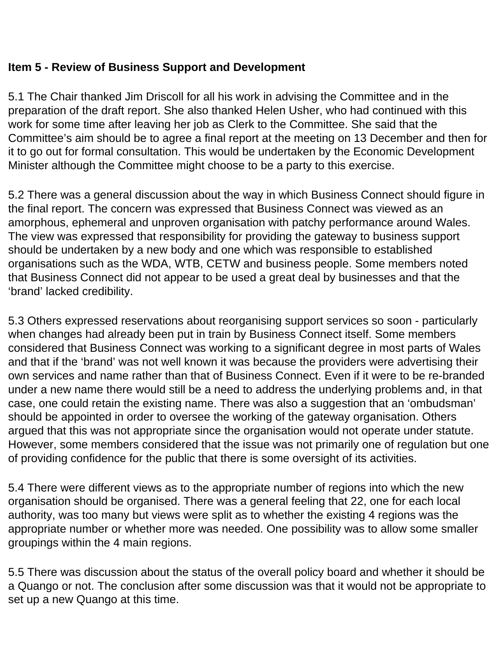### **Item 5 - Review of Business Support and Development**

5.1 The Chair thanked Jim Driscoll for all his work in advising the Committee and in the preparation of the draft report. She also thanked Helen Usher, who had continued with this work for some time after leaving her job as Clerk to the Committee. She said that the Committee's aim should be to agree a final report at the meeting on 13 December and then for it to go out for formal consultation. This would be undertaken by the Economic Development Minister although the Committee might choose to be a party to this exercise.

5.2 There was a general discussion about the way in which Business Connect should figure in the final report. The concern was expressed that Business Connect was viewed as an amorphous, ephemeral and unproven organisation with patchy performance around Wales. The view was expressed that responsibility for providing the gateway to business support should be undertaken by a new body and one which was responsible to established organisations such as the WDA, WTB, CETW and business people. Some members noted that Business Connect did not appear to be used a great deal by businesses and that the 'brand' lacked credibility.

5.3 Others expressed reservations about reorganising support services so soon - particularly when changes had already been put in train by Business Connect itself. Some members considered that Business Connect was working to a significant degree in most parts of Wales and that if the 'brand' was not well known it was because the providers were advertising their own services and name rather than that of Business Connect. Even if it were to be re-branded under a new name there would still be a need to address the underlying problems and, in that case, one could retain the existing name. There was also a suggestion that an 'ombudsman' should be appointed in order to oversee the working of the gateway organisation. Others argued that this was not appropriate since the organisation would not operate under statute. However, some members considered that the issue was not primarily one of regulation but one of providing confidence for the public that there is some oversight of its activities.

5.4 There were different views as to the appropriate number of regions into which the new organisation should be organised. There was a general feeling that 22, one for each local authority, was too many but views were split as to whether the existing 4 regions was the appropriate number or whether more was needed. One possibility was to allow some smaller groupings within the 4 main regions.

5.5 There was discussion about the status of the overall policy board and whether it should be a Quango or not. The conclusion after some discussion was that it would not be appropriate to set up a new Quango at this time.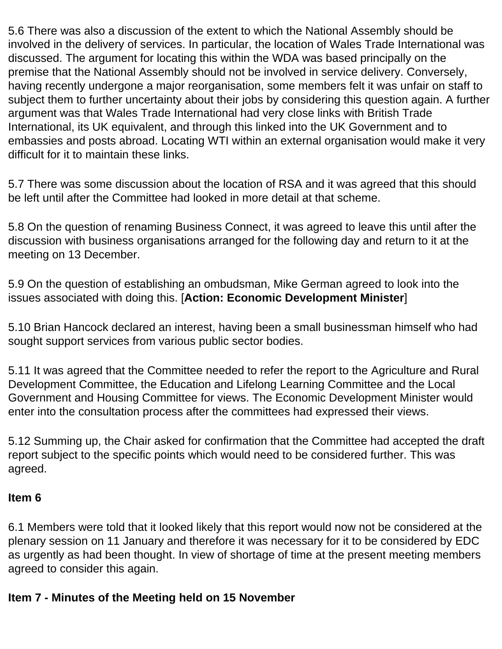5.6 There was also a discussion of the extent to which the National Assembly should be involved in the delivery of services. In particular, the location of Wales Trade International was discussed. The argument for locating this within the WDA was based principally on the premise that the National Assembly should not be involved in service delivery. Conversely, having recently undergone a major reorganisation, some members felt it was unfair on staff to subject them to further uncertainty about their jobs by considering this question again. A further argument was that Wales Trade International had very close links with British Trade International, its UK equivalent, and through this linked into the UK Government and to embassies and posts abroad. Locating WTI within an external organisation would make it very difficult for it to maintain these links.

5.7 There was some discussion about the location of RSA and it was agreed that this should be left until after the Committee had looked in more detail at that scheme.

5.8 On the question of renaming Business Connect, it was agreed to leave this until after the discussion with business organisations arranged for the following day and return to it at the meeting on 13 December.

5.9 On the question of establishing an ombudsman, Mike German agreed to look into the issues associated with doing this. [**Action: Economic Development Minister**]

5.10 Brian Hancock declared an interest, having been a small businessman himself who had sought support services from various public sector bodies.

5.11 It was agreed that the Committee needed to refer the report to the Agriculture and Rural Development Committee, the Education and Lifelong Learning Committee and the Local Government and Housing Committee for views. The Economic Development Minister would enter into the consultation process after the committees had expressed their views.

5.12 Summing up, the Chair asked for confirmation that the Committee had accepted the draft report subject to the specific points which would need to be considered further. This was agreed.

#### **Item 6**

6.1 Members were told that it looked likely that this report would now not be considered at the plenary session on 11 January and therefore it was necessary for it to be considered by EDC as urgently as had been thought. In view of shortage of time at the present meeting members agreed to consider this again.

#### **Item 7 - Minutes of the Meeting held on 15 November**